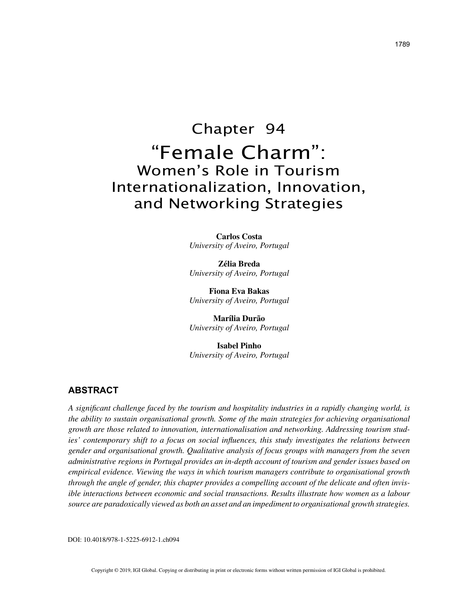# Chapter 94 "Female Charm": Women's Role in Tourism Internationalization, Innovation, and Networking Strategies

**Carlos Costa** *University of Aveiro, Portugal*

**Zélia Breda** *University of Aveiro, Portugal*

**Fiona Eva Bakas** *University of Aveiro, Portugal*

**Marília Durão** *University of Aveiro, Portugal*

**Isabel Pinho** *University of Aveiro, Portugal*

# **ABSTRACT**

*A significant challenge faced by the tourism and hospitality industries in a rapidly changing world, is the ability to sustain organisational growth. Some of the main strategies for achieving organisational growth are those related to innovation, internationalisation and networking. Addressing tourism studies' contemporary shift to a focus on social influences, this study investigates the relations between gender and organisational growth. Qualitative analysis of focus groups with managers from the seven administrative regions in Portugal provides an in-depth account of tourism and gender issues based on empirical evidence. Viewing the ways in which tourism managers contribute to organisational growth through the angle of gender, this chapter provides a compelling account of the delicate and often invisible interactions between economic and social transactions. Results illustrate how women as a labour source are paradoxically viewed as both an asset and an impediment to organisational growth strategies.*

DOI: 10.4018/978-1-5225-6912-1.ch094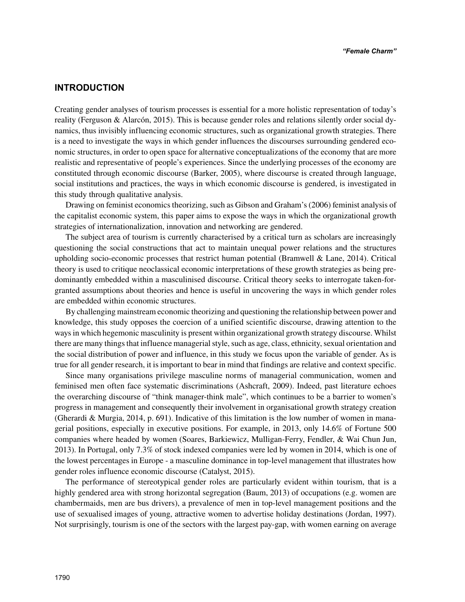## **INTRODUCTION**

Creating gender analyses of tourism processes is essential for a more holistic representation of today's reality (Ferguson & Alarcón, 2015). This is because gender roles and relations silently order social dynamics, thus invisibly influencing economic structures, such as organizational growth strategies. There is a need to investigate the ways in which gender influences the discourses surrounding gendered economic structures, in order to open space for alternative conceptualizations of the economy that are more realistic and representative of people's experiences. Since the underlying processes of the economy are constituted through economic discourse (Barker, 2005), where discourse is created through language, social institutions and practices, the ways in which economic discourse is gendered, is investigated in this study through qualitative analysis.

Drawing on feminist economics theorizing, such as Gibson and Graham's (2006) feminist analysis of the capitalist economic system, this paper aims to expose the ways in which the organizational growth strategies of internationalization, innovation and networking are gendered.

The subject area of tourism is currently characterised by a critical turn as scholars are increasingly questioning the social constructions that act to maintain unequal power relations and the structures upholding socio-economic processes that restrict human potential (Bramwell & Lane, 2014). Critical theory is used to critique neoclassical economic interpretations of these growth strategies as being predominantly embedded within a masculinised discourse. Critical theory seeks to interrogate taken-forgranted assumptions about theories and hence is useful in uncovering the ways in which gender roles are embedded within economic structures.

By challenging mainstream economic theorizing and questioning the relationship between power and knowledge, this study opposes the coercion of a unified scientific discourse, drawing attention to the ways in which hegemonic masculinity is present within organizational growth strategy discourse. Whilst there are many things that influence managerial style, such as age, class, ethnicity, sexual orientation and the social distribution of power and influence, in this study we focus upon the variable of gender. As is true for all gender research, it is important to bear in mind that findings are relative and context specific.

Since many organisations privilege masculine norms of managerial communication, women and feminised men often face systematic discriminations (Ashcraft, 2009). Indeed, past literature echoes the overarching discourse of "think manager-think male", which continues to be a barrier to women's progress in management and consequently their involvement in organisational growth strategy creation (Gherardi & Murgia, 2014, p. 691). Indicative of this limitation is the low number of women in managerial positions, especially in executive positions. For example, in 2013, only 14.6% of Fortune 500 companies where headed by women (Soares, Barkiewicz, Mulligan-Ferry, Fendler, & Wai Chun Jun, 2013). In Portugal, only 7.3% of stock indexed companies were led by women in 2014, which is one of the lowest percentages in Europe - a masculine dominance in top-level management that illustrates how gender roles influence economic discourse (Catalyst, 2015).

The performance of stereotypical gender roles are particularly evident within tourism, that is a highly gendered area with strong horizontal segregation (Baum, 2013) of occupations (e.g. women are chambermaids, men are bus drivers), a prevalence of men in top-level management positions and the use of sexualised images of young, attractive women to advertise holiday destinations (Jordan, 1997). Not surprisingly, tourism is one of the sectors with the largest pay-gap, with women earning on average